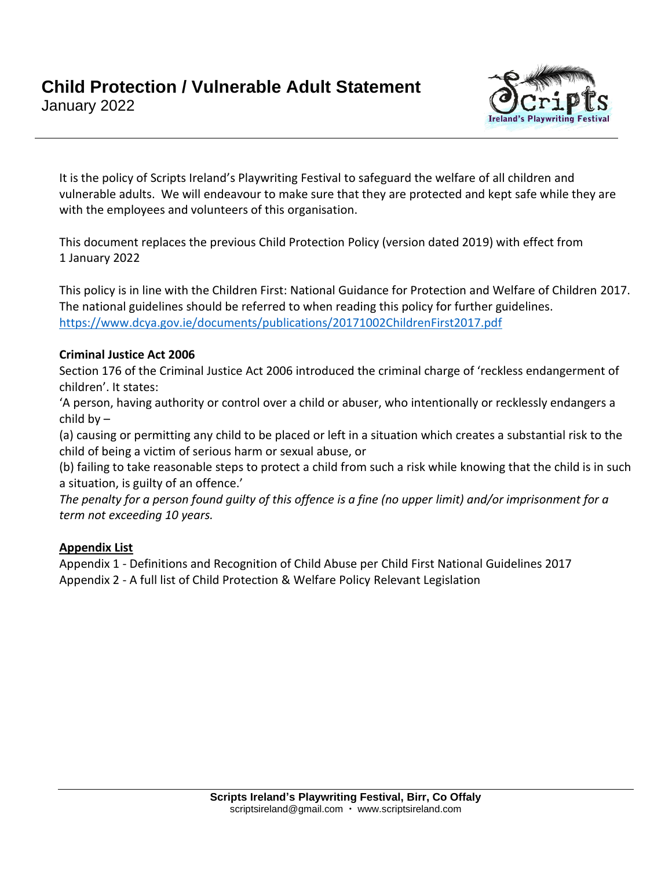

It is the policy of Scripts Ireland's Playwriting Festival to safeguard the welfare of all children and vulnerable adults. We will endeavour to make sure that they are protected and kept safe while they are with the employees and volunteers of this organisation.

This document replaces the previous Child Protection Policy (version dated 2019) with effect from 1 January 2022

This policy is in line with the Children First: National Guidance for Protection and Welfare of Children 2017. The national guidelines should be referred to when reading this policy for further guidelines. <https://www.dcya.gov.ie/documents/publications/20171002ChildrenFirst2017.pdf>

### **Criminal Justice Act 2006**

Section 176 of the Criminal Justice Act 2006 introduced the criminal charge of 'reckless endangerment of children'. It states:

'A person, having authority or control over a child or abuser, who intentionally or recklessly endangers a child by –

(a) causing or permitting any child to be placed or left in a situation which creates a substantial risk to the child of being a victim of serious harm or sexual abuse, or

(b) failing to take reasonable steps to protect a child from such a risk while knowing that the child is in such a situation, is guilty of an offence.'

*The penalty for a person found guilty of this offence is a fine (no upper limit) and/or imprisonment for a term not exceeding 10 years.*

#### **Appendix List**

Appendix 1 - Definitions and Recognition of Child Abuse per Child First National Guidelines 2017 Appendix 2 - A full list of Child Protection & Welfare Policy Relevant Legislation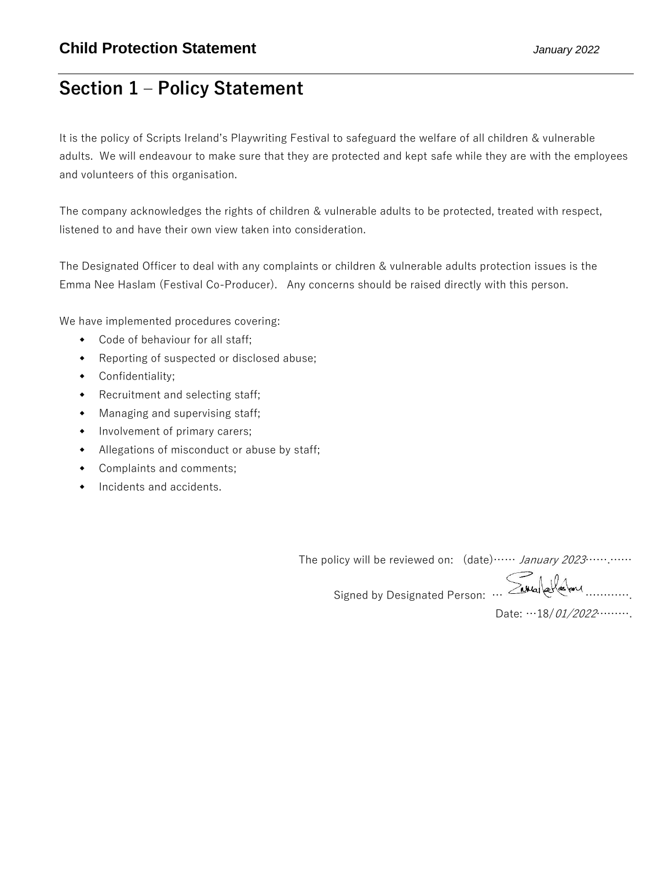## **Section 1 – Policy Statement**

It is the policy of Scripts Ireland's Playwriting Festival to safeguard the welfare of all children & vulnerable adults. We will endeavour to make sure that they are protected and kept safe while they are with the employees and volunteers of this organisation.

The company acknowledges the rights of children & vulnerable adults to be protected, treated with respect, listened to and have their own view taken into consideration.

The Designated Officer to deal with any complaints or children & vulnerable adults protection issues is the Emma Nee Haslam (Festival Co-Producer). Any concerns should be raised directly with this person.

We have implemented procedures covering:

- Code of behaviour for all staff;
- Reporting of suspected or disclosed abuse;
- Confidentiality;
- Recruitment and selecting staff;
- Managing and supervising staff;
- Involvement of primary carers;
- Allegations of misconduct or abuse by staff;
- Complaints and comments;
- Incidents and accidents.

The policy will be reviewed on: (date)…… January 2023…….……

Signed by Designated Person: … Savalakeland ............

Date: …18/01/2022……….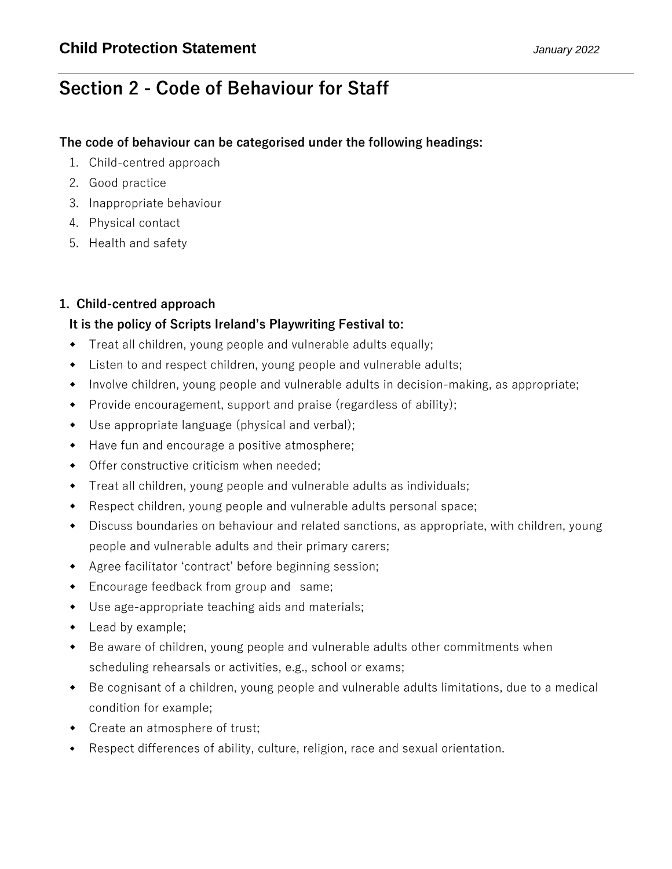# **Section 2 - Code of Behaviour for Staff**

### **The code of behaviour can be categorised under the following headings:**

- 1. Child-centred approach
- 2. Good practice
- 3. Inappropriate behaviour
- 4. Physical contact
- 5. Health and safety

### **1. Child-centred approach**

### **It is the policy of Scripts Ireland's Playwriting Festival to:**

- Treat all children, young people and vulnerable adults equally;
- Listen to and respect children, young people and vulnerable adults;
- Involve children, young people and vulnerable adults in decision-making, as appropriate;
- Provide encouragement, support and praise (regardless of ability);
- Use appropriate language (physical and verbal);
- Have fun and encourage a positive atmosphere;
- Offer constructive criticism when needed;
- Treat all children, young people and vulnerable adults as individuals;
- Respect children, young people and vulnerable adults personal space;
- Discuss boundaries on behaviour and related sanctions, as appropriate, with children, young people and vulnerable adults and their primary carers;
- Agree facilitator 'contract' before beginning session;
- Encourage feedback from group and same;
- Use age-appropriate teaching aids and materials;
- Lead by example;
- Be aware of children, young people and vulnerable adults other commitments when scheduling rehearsals or activities, e.g., school or exams;
- Be cognisant of a children, young people and vulnerable adults limitations, due to a medical condition for example;
- Create an atmosphere of trust;
- Respect differences of ability, culture, religion, race and sexual orientation.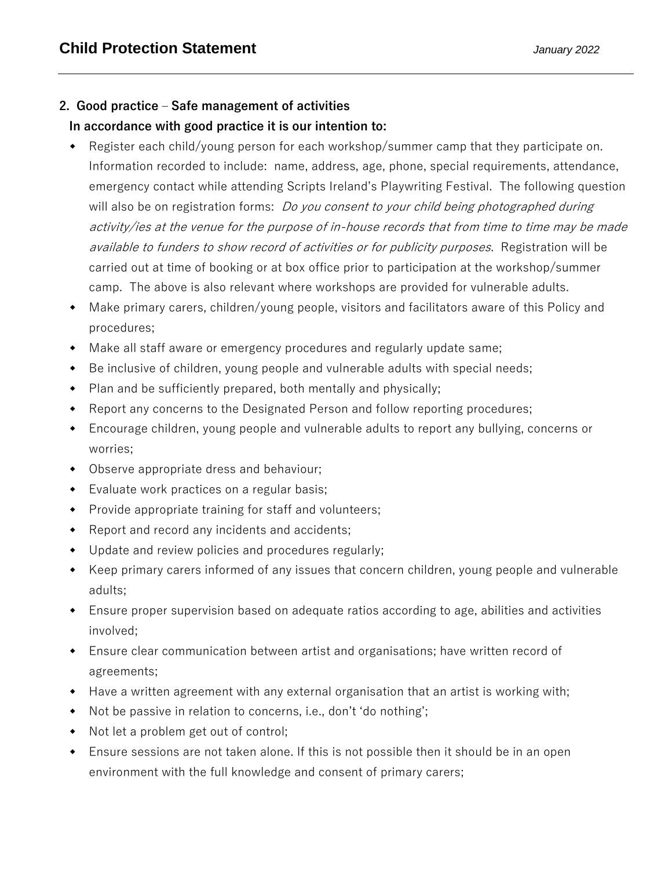### **2. Good practice – Safe management of activities In accordance with good practice it is our intention to:**

- Register each child/young person for each workshop/summer camp that they participate on. Information recorded to include: name, address, age, phone, special requirements, attendance, emergency contact while attending Scripts Ireland's Playwriting Festival. The following question will also be on registration forms: *Do you consent to your child being photographed during* activity/ies at the venue for the purpose of in-house records that from time to time may be made available to funders to show record of activities or for publicity purposes. Registration will be carried out at time of booking or at box office prior to participation at the workshop/summer camp. The above is also relevant where workshops are provided for vulnerable adults.
- Make primary carers, children/young people, visitors and facilitators aware of this Policy and procedures;
- Make all staff aware or emergency procedures and regularly update same;
- Be inclusive of children, young people and vulnerable adults with special needs;
- Plan and be sufficiently prepared, both mentally and physically;
- Report any concerns to the Designated Person and follow reporting procedures;
- Encourage children, young people and vulnerable adults to report any bullying, concerns or worries;
- Observe appropriate dress and behaviour;
- Evaluate work practices on a regular basis;
- Provide appropriate training for staff and volunteers;
- Report and record any incidents and accidents;
- Update and review policies and procedures regularly;
- Keep primary carers informed of any issues that concern children, young people and vulnerable adults;
- Ensure proper supervision based on adequate ratios according to age, abilities and activities involved;
- Ensure clear communication between artist and organisations; have written record of agreements;
- Have a written agreement with any external organisation that an artist is working with;
- Not be passive in relation to concerns, i.e., don't 'do nothing';
- Not let a problem get out of control;
- Ensure sessions are not taken alone. If this is not possible then it should be in an open environment with the full knowledge and consent of primary carers;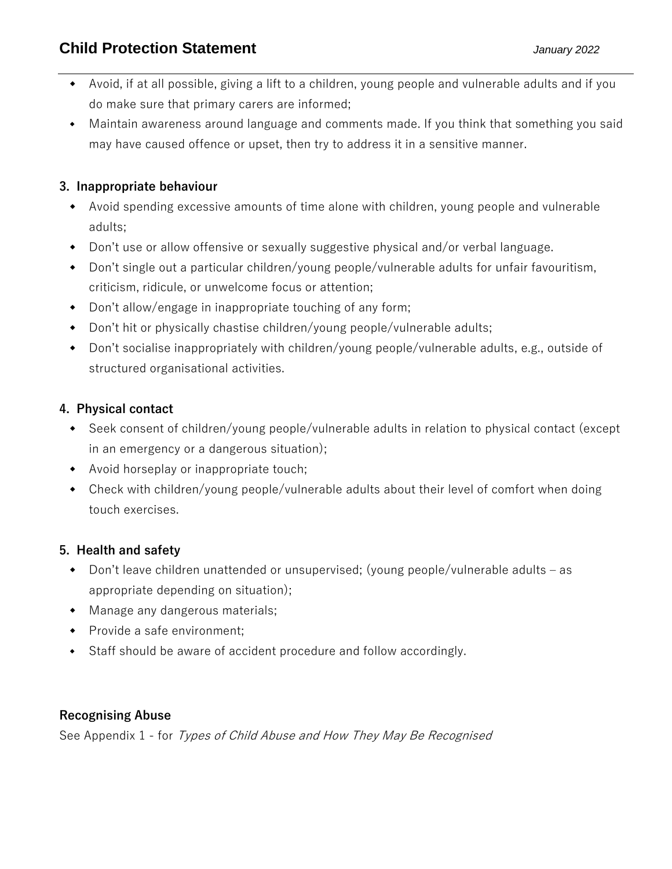- Avoid, if at all possible, giving a lift to a children, young people and vulnerable adults and if you do make sure that primary carers are informed;
- Maintain awareness around language and comments made. If you think that something you said may have caused offence or upset, then try to address it in a sensitive manner.

## **3. Inappropriate behaviour**

- Avoid spending excessive amounts of time alone with children, young people and vulnerable adults;
- Don't use or allow offensive or sexually suggestive physical and/or verbal language.
- Don't single out a particular children/young people/vulnerable adults for unfair favouritism, criticism, ridicule, or unwelcome focus or attention;
- Don't allow/engage in inappropriate touching of any form;
- Don't hit or physically chastise children/young people/vulnerable adults;
- Don't socialise inappropriately with children/young people/vulnerable adults, e.g., outside of structured organisational activities.

## **4. Physical contact**

- Seek consent of children/young people/vulnerable adults in relation to physical contact (except in an emergency or a dangerous situation);
- Avoid horseplay or inappropriate touch;
- Check with children/young people/vulnerable adults about their level of comfort when doing touch exercises.

## **5. Health and safety**

- Don't leave children unattended or unsupervised; (young people/vulnerable adults as appropriate depending on situation);
- Manage any dangerous materials;
- Provide a safe environment:
- Staff should be aware of accident procedure and follow accordingly.

### **Recognising Abuse**

See Appendix 1 - for Types of Child Abuse and How They May Be Recognised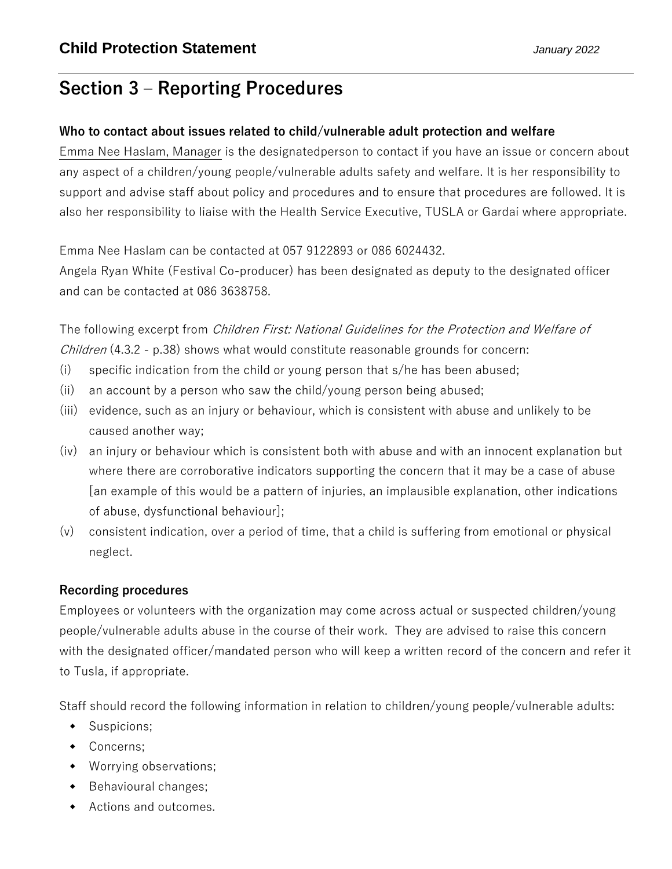# **Section 3 – Reporting Procedures**

## **Who to contact about issues related to child/vulnerable adult protection and welfare**

Emma Nee Haslam, Manager is the designatedperson to contact if you have an issue or concern about any aspect of a children/young people/vulnerable adults safety and welfare. It is her responsibility to support and advise staff about policy and procedures and to ensure that procedures are followed. It is also her responsibility to liaise with the Health Service Executive, TUSLA or Gardaí where appropriate.

Emma Nee Haslam can be contacted at 057 9122893 or 086 6024432.

Angela Ryan White (Festival Co-producer) has been designated as deputy to the designated officer and can be contacted at 086 3638758.

The following excerpt from Children First: National Guidelines for the Protection and Welfare of *Children* (4.3.2 - p.38) shows what would constitute reasonable grounds for concern:

- (i) specific indication from the child or young person that s/he has been abused;
- (ii) an account by a person who saw the child/young person being abused;
- (iii) evidence, such as an injury or behaviour, which is consistent with abuse and unlikely to be caused another way;
- (iv) an injury or behaviour which is consistent both with abuse and with an innocent explanation but where there are corroborative indicators supporting the concern that it may be a case of abuse [an example of this would be a pattern of injuries, an implausible explanation, other indications of abuse, dysfunctional behaviour];
- (v) consistent indication, over a period of time, that a child is suffering from emotional or physical neglect.

## **Recording procedures**

Employees or volunteers with the organization may come across actual or suspected children/young people/vulnerable adults abuse in the course of their work. They are advised to raise this concern with the designated officer/mandated person who will keep a written record of the concern and refer it to Tusla, if appropriate.

Staff should record the following information in relation to children/young people/vulnerable adults:

- Suspicions;
- Concerns;
- Worrying observations;
- ◆ Behavioural changes;
- Actions and outcomes.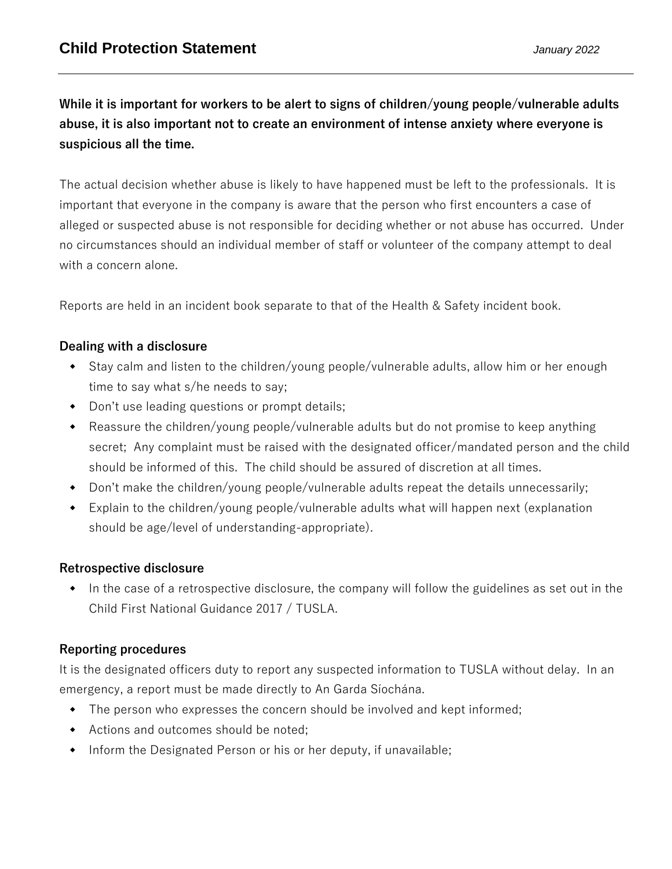## **While it is important for workers to be alert to signs of children/young people/vulnerable adults abuse, it is also important not to create an environment of intense anxiety where everyone is suspicious all the time.**

The actual decision whether abuse is likely to have happened must be left to the professionals. It is important that everyone in the company is aware that the person who first encounters a case of alleged or suspected abuse is not responsible for deciding whether or not abuse has occurred. Under no circumstances should an individual member of staff or volunteer of the company attempt to deal with a concern alone.

Reports are held in an incident book separate to that of the Health & Safety incident book.

### **Dealing with a disclosure**

- Stay calm and listen to the children/young people/vulnerable adults, allow him or her enough time to say what s/he needs to say;
- Don't use leading questions or prompt details;
- Reassure the children/young people/vulnerable adults but do not promise to keep anything secret; Any complaint must be raised with the designated officer/mandated person and the child should be informed of this. The child should be assured of discretion at all times.
- Don't make the children/young people/vulnerable adults repeat the details unnecessarily;
- Explain to the children/young people/vulnerable adults what will happen next (explanation should be age/level of understanding-appropriate).

### **Retrospective disclosure**

 In the case of a retrospective disclosure, the company will follow the guidelines as set out in the Child First National Guidance 2017 / TUSLA.

### **Reporting procedures**

It is the designated officers duty to report any suspected information to TUSLA without delay. In an emergency, a report must be made directly to An Garda Síochána.

- The person who expresses the concern should be involved and kept informed;
- Actions and outcomes should be noted;
- Inform the Designated Person or his or her deputy, if unavailable;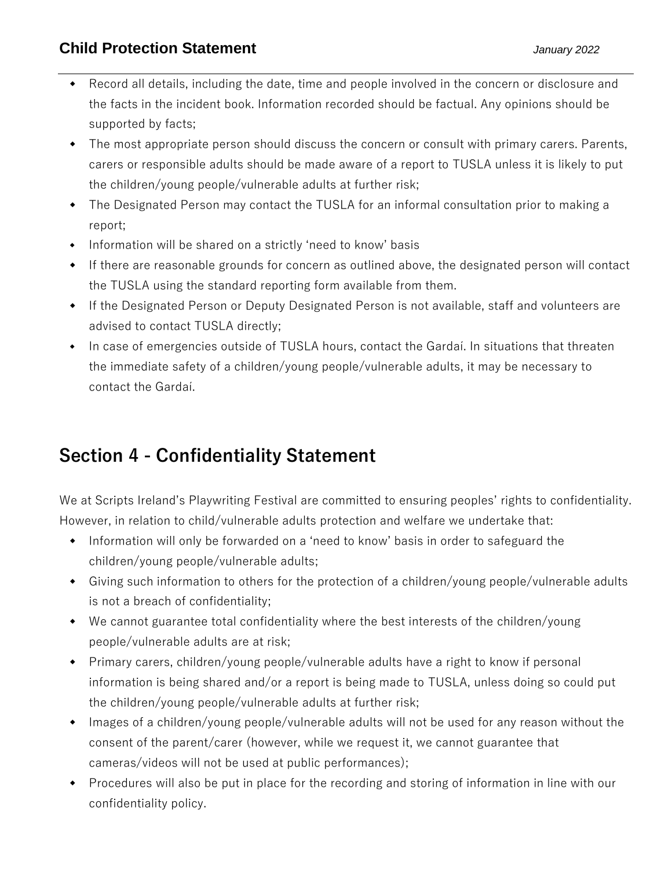## **Child Protection Statement** *January 2022*

- Record all details, including the date, time and people involved in the concern or disclosure and the facts in the incident book. Information recorded should be factual. Any opinions should be supported by facts;
- The most appropriate person should discuss the concern or consult with primary carers. Parents, carers or responsible adults should be made aware of a report to TUSLA unless it is likely to put the children/young people/vulnerable adults at further risk;
- The Designated Person may contact the TUSLA for an informal consultation prior to making a report;
- Information will be shared on a strictly 'need to know' basis
- If there are reasonable grounds for concern as outlined above, the designated person will contact the TUSLA using the standard reporting form available from them.
- If the Designated Person or Deputy Designated Person is not available, staff and volunteers are advised to contact TUSLA directly;
- In case of emergencies outside of TUSLA hours, contact the Gardaí. In situations that threaten the immediate safety of a children/young people/vulnerable adults, it may be necessary to contact the Gardaí.

# **Section 4 - Confidentiality Statement**

We at Scripts Ireland's Playwriting Festival are committed to ensuring peoples' rights to confidentiality. However, in relation to child/vulnerable adults protection and welfare we undertake that:

- Information will only be forwarded on a 'need to know' basis in order to safeguard the children/young people/vulnerable adults;
- Giving such information to others for the protection of a children/young people/vulnerable adults is not a breach of confidentiality;
- We cannot guarantee total confidentiality where the best interests of the children/young people/vulnerable adults are at risk;
- Primary carers, children/young people/vulnerable adults have a right to know if personal information is being shared and/or a report is being made to TUSLA, unless doing so could put the children/young people/vulnerable adults at further risk;
- Images of a children/young people/vulnerable adults will not be used for any reason without the consent of the parent/carer (however, while we request it, we cannot guarantee that cameras/videos will not be used at public performances);
- Procedures will also be put in place for the recording and storing of information in line with our confidentiality policy.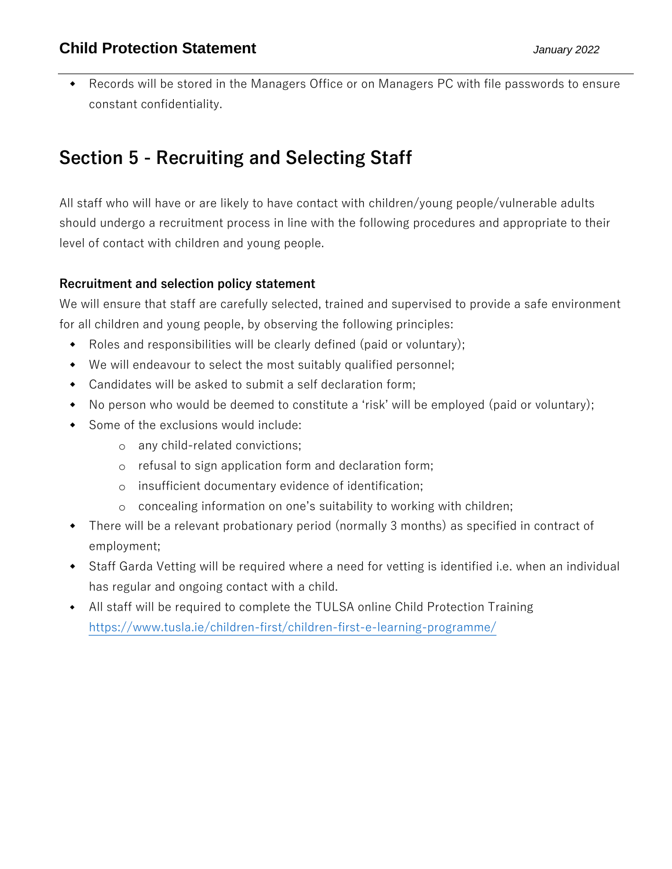Records will be stored in the Managers Office or on Managers PC with file passwords to ensure constant confidentiality.

# **Section 5 - Recruiting and Selecting Staff**

All staff who will have or are likely to have contact with children/young people/vulnerable adults should undergo a recruitment process in line with the following procedures and appropriate to their level of contact with children and young people.

### **Recruitment and selection policy statement**

We will ensure that staff are carefully selected, trained and supervised to provide a safe environment for all children and young people, by observing the following principles:

- Roles and responsibilities will be clearly defined (paid or voluntary);
- We will endeavour to select the most suitably qualified personnel;
- Candidates will be asked to submit a self declaration form;
- No person who would be deemed to constitute a 'risk' will be employed (paid or voluntary);
- Some of the exclusions would include:
	- o any child-related convictions;
	- o refusal to sign application form and declaration form;
	- o insufficient documentary evidence of identification;
	- o concealing information on one's suitability to working with children;
- There will be a relevant probationary period (normally 3 months) as specified in contract of employment;
- Staff Garda Vetting will be required where a need for vetting is identified i.e. when an individual has regular and ongoing contact with a child.
- All staff will be required to complete the TULSA online Child Protection Training <https://www.tusla.ie/children-first/children-first-e-learning-programme/>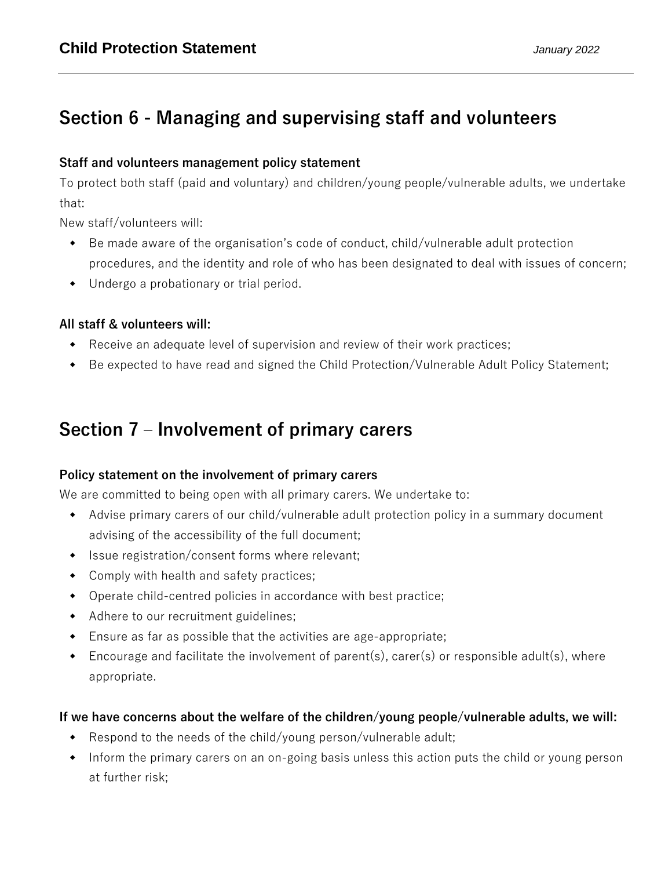# **Section 6 - Managing and supervising staff and volunteers**

### **Staff and volunteers management policy statement**

To protect both staff (paid and voluntary) and children/young people/vulnerable adults, we undertake that:

New staff/volunteers will:

- Be made aware of the organisation's code of conduct, child/vulnerable adult protection procedures, and the identity and role of who has been designated to deal with issues of concern;
- Undergo a probationary or trial period.

## **All staff & volunteers will:**

- Receive an adequate level of supervision and review of their work practices;
- Be expected to have read and signed the Child Protection/Vulnerable Adult Policy Statement;

# **Section 7 – Involvement of primary carers**

### **Policy statement on the involvement of primary carers**

We are committed to being open with all primary carers. We undertake to:

- Advise primary carers of our child/vulnerable adult protection policy in a summary document advising of the accessibility of the full document;
- Issue registration/consent forms where relevant;
- Comply with health and safety practices;
- Operate child-centred policies in accordance with best practice;
- Adhere to our recruitment guidelines;
- Ensure as far as possible that the activities are age-appropriate;
- $\bullet$  Encourage and facilitate the involvement of parent(s), carer(s) or responsible adult(s), where appropriate.

## **If we have concerns about the welfare of the children/young people/vulnerable adults, we will:**

- Respond to the needs of the child/young person/vulnerable adult;
- Inform the primary carers on an on-going basis unless this action puts the child or young person at further risk;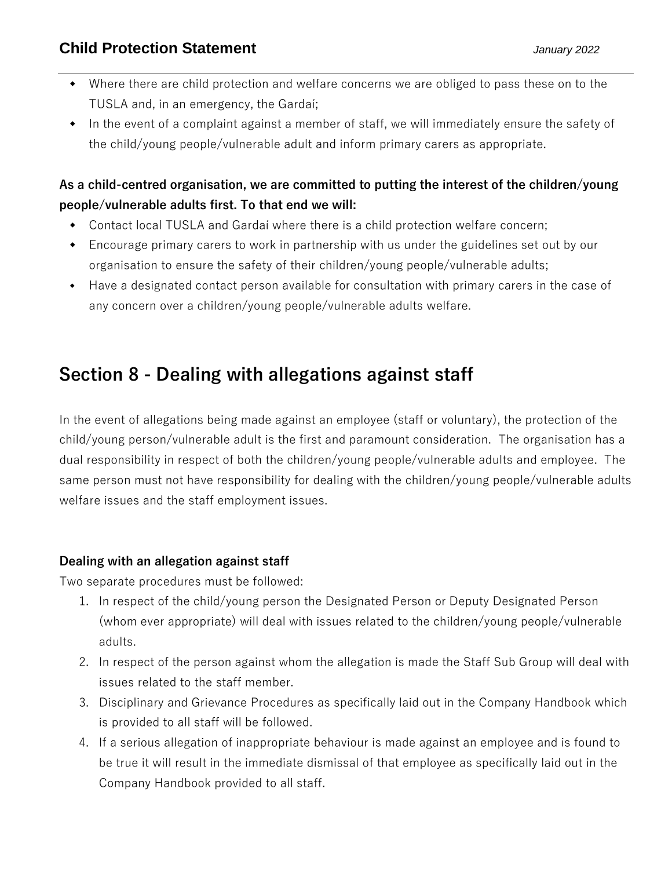- Where there are child protection and welfare concerns we are obliged to pass these on to the TUSLA and, in an emergency, the Gardaí;
- In the event of a complaint against a member of staff, we will immediately ensure the safety of the child/young people/vulnerable adult and inform primary carers as appropriate.

## **As a child-centred organisation, we are committed to putting the interest of the children/young people/vulnerable adults first. To that end we will:**

- Contact local TUSLA and Gardaí where there is a child protection welfare concern;
- Encourage primary carers to work in partnership with us under the guidelines set out by our organisation to ensure the safety of their children/young people/vulnerable adults;
- Have a designated contact person available for consultation with primary carers in the case of any concern over a children/young people/vulnerable adults welfare.

# **Section 8 - Dealing with allegations against staff**

In the event of allegations being made against an employee (staff or voluntary), the protection of the child/young person/vulnerable adult is the first and paramount consideration. The organisation has a dual responsibility in respect of both the children/young people/vulnerable adults and employee. The same person must not have responsibility for dealing with the children/young people/vulnerable adults welfare issues and the staff employment issues.

## **Dealing with an allegation against staff**

Two separate procedures must be followed:

- 1. In respect of the child/young person the Designated Person or Deputy Designated Person (whom ever appropriate) will deal with issues related to the children/young people/vulnerable adults.
- 2. In respect of the person against whom the allegation is made the Staff Sub Group will deal with issues related to the staff member.
- 3. Disciplinary and Grievance Procedures as specifically laid out in the Company Handbook which is provided to all staff will be followed.
- 4. If a serious allegation of inappropriate behaviour is made against an employee and is found to be true it will result in the immediate dismissal of that employee as specifically laid out in the Company Handbook provided to all staff.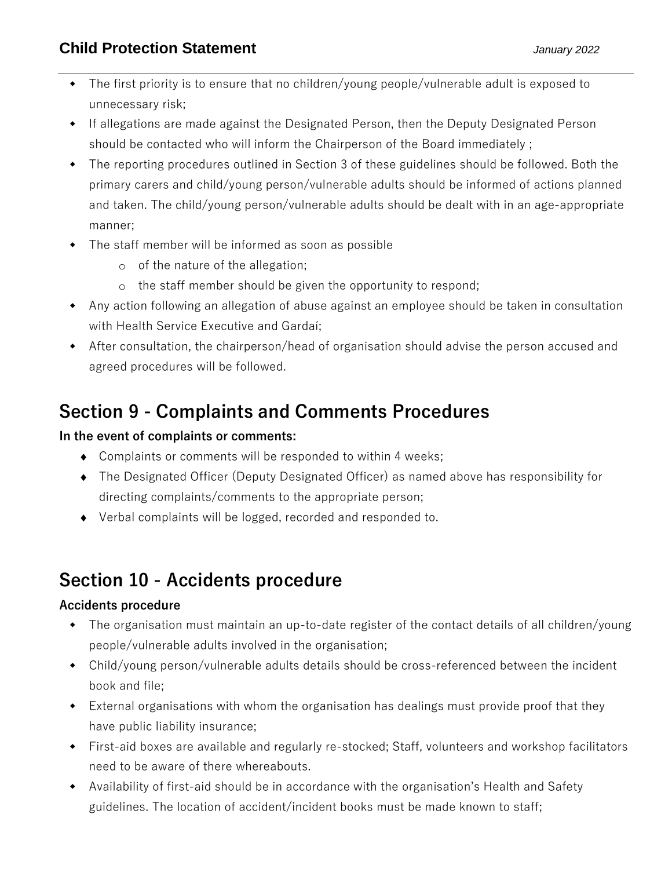- The first priority is to ensure that no children/young people/vulnerable adult is exposed to unnecessary risk;
- If allegations are made against the Designated Person, then the Deputy Designated Person should be contacted who will inform the Chairperson of the Board immediately ;
- The reporting procedures outlined in Section 3 of these guidelines should be followed. Both the primary carers and child/young person/vulnerable adults should be informed of actions planned and taken. The child/young person/vulnerable adults should be dealt with in an age-appropriate manner;
- The staff member will be informed as soon as possible
	- o of the nature of the allegation;
	- o the staff member should be given the opportunity to respond;
- Any action following an allegation of abuse against an employee should be taken in consultation with Health Service Executive and Gardaí;
- After consultation, the chairperson/head of organisation should advise the person accused and agreed procedures will be followed.

# **Section 9 - Complaints and Comments Procedures**

## **In the event of complaints or comments:**

- Complaints or comments will be responded to within 4 weeks;
- The Designated Officer (Deputy Designated Officer) as named above has responsibility for directing complaints/comments to the appropriate person;
- Verbal complaints will be logged, recorded and responded to.

# **Section 10 - Accidents procedure**

## **Accidents procedure**

- The organisation must maintain an up-to-date register of the contact details of all children/young people/vulnerable adults involved in the organisation;
- Child/young person/vulnerable adults details should be cross-referenced between the incident book and file;
- External organisations with whom the organisation has dealings must provide proof that they have public liability insurance;
- First-aid boxes are available and regularly re-stocked; Staff, volunteers and workshop facilitators need to be aware of there whereabouts.
- Availability of first-aid should be in accordance with the organisation's Health and Safety guidelines. The location of accident/incident books must be made known to staff;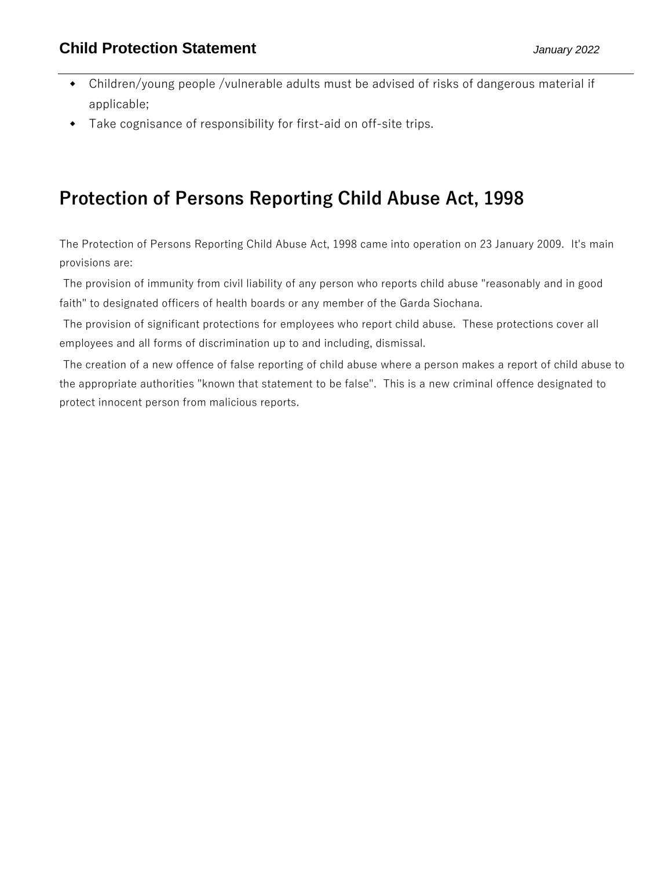- Children/young people /vulnerable adults must be advised of risks of dangerous material if applicable;
- Take cognisance of responsibility for first-aid on off-site trips.

# **Protection of Persons Reporting Child Abuse Act, 1998**

The Protection of Persons Reporting Child Abuse Act, 1998 came into operation on 23 January 2009. It's main provisions are:

The provision of immunity from civil liability of any person who reports child abuse "reasonably and in good faith" to designated officers of health boards or any member of the Garda Siochana.

The provision of significant protections for employees who report child abuse. These protections cover all employees and all forms of discrimination up to and including, dismissal.

The creation of a new offence of false reporting of child abuse where a person makes a report of child abuse to the appropriate authorities "known that statement to be false". This is a new criminal offence designated to protect innocent person from malicious reports.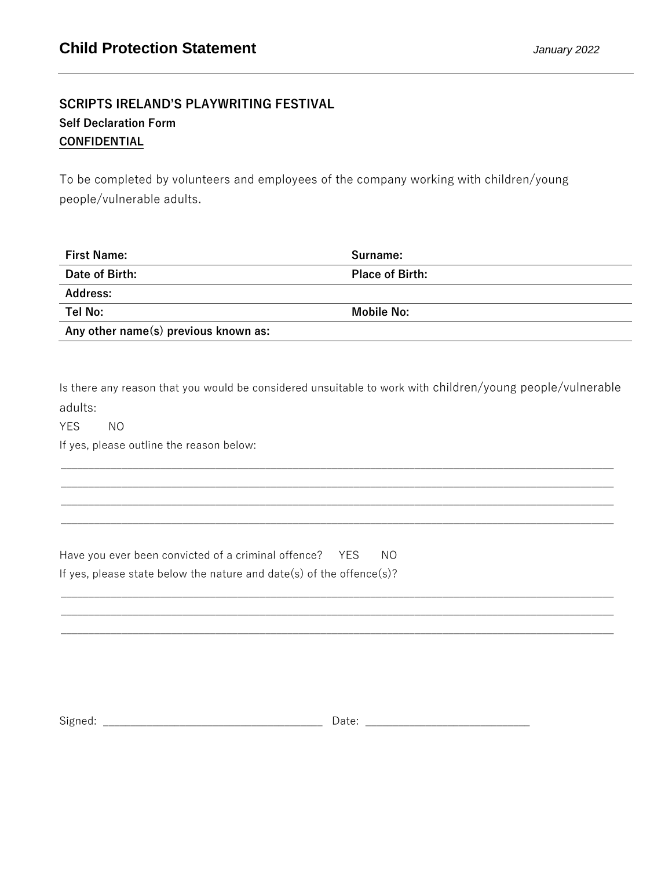## **SCRIPTS IRELAND'S PLAYWRITING FESTIVAL Self Declaration Form CONFIDENTIAL**

To be completed by volunteers and employees of the company working with children/young people/vulnerable adults.

| <b>First Name:</b>                   | Surname:               |
|--------------------------------------|------------------------|
| Date of Birth:                       | <b>Place of Birth:</b> |
| <b>Address:</b>                      |                        |
| Tel No:                              | Mobile No:             |
| Any other name(s) previous known as: |                        |

Is there any reason that you would be considered unsuitable to work with children/young people/vulnerable adults:

\_\_\_\_\_\_\_\_\_\_\_\_\_\_\_\_\_\_\_\_\_\_\_\_\_\_\_\_\_\_\_\_\_\_\_\_\_\_\_\_\_\_\_\_\_\_\_\_\_\_\_\_\_\_\_\_\_\_\_\_\_\_\_\_\_\_\_\_\_\_\_\_\_\_\_\_\_\_\_\_\_\_\_\_\_\_\_\_\_\_\_\_\_\_\_\_\_\_\_\_

\_\_\_\_\_\_\_\_\_\_\_\_\_\_\_\_\_\_\_\_\_\_\_\_\_\_\_\_\_\_\_\_\_\_\_\_\_\_\_\_\_\_\_\_\_\_\_\_\_\_\_\_\_\_\_\_\_\_\_\_\_\_\_\_\_\_\_\_\_\_\_\_\_\_\_\_\_\_\_\_\_\_\_\_\_\_\_\_\_\_\_\_\_\_\_\_\_\_\_\_  $\mathcal{L}_\text{max} = \mathcal{L}_\text{max} = \mathcal{L}_\text{max} = \mathcal{L}_\text{max} = \mathcal{L}_\text{max} = \mathcal{L}_\text{max} = \mathcal{L}_\text{max} = \mathcal{L}_\text{max} = \mathcal{L}_\text{max} = \mathcal{L}_\text{max} = \mathcal{L}_\text{max} = \mathcal{L}_\text{max} = \mathcal{L}_\text{max} = \mathcal{L}_\text{max} = \mathcal{L}_\text{max} = \mathcal{L}_\text{max} = \mathcal{L}_\text{max} = \mathcal{L}_\text{max} = \mathcal{$ 

\_\_\_\_\_\_\_\_\_\_\_\_\_\_\_\_\_\_\_\_\_\_\_\_\_\_\_\_\_\_\_\_\_\_\_\_\_\_\_\_\_\_\_\_\_\_\_\_\_\_\_\_\_\_\_\_\_\_\_\_\_\_\_\_\_\_\_\_\_\_\_\_\_\_\_\_\_\_\_\_\_\_\_\_\_\_\_\_\_\_\_\_\_\_\_\_\_\_\_\_

YES NO

If yes, please outline the reason below:

| Have you ever been convicted of a criminal offence? YES              | NO. |
|----------------------------------------------------------------------|-----|
| If yes, please state below the nature and date(s) of the offence(s)? |     |

| <b>.</b><br>- |  |  |
|---------------|--|--|
|               |  |  |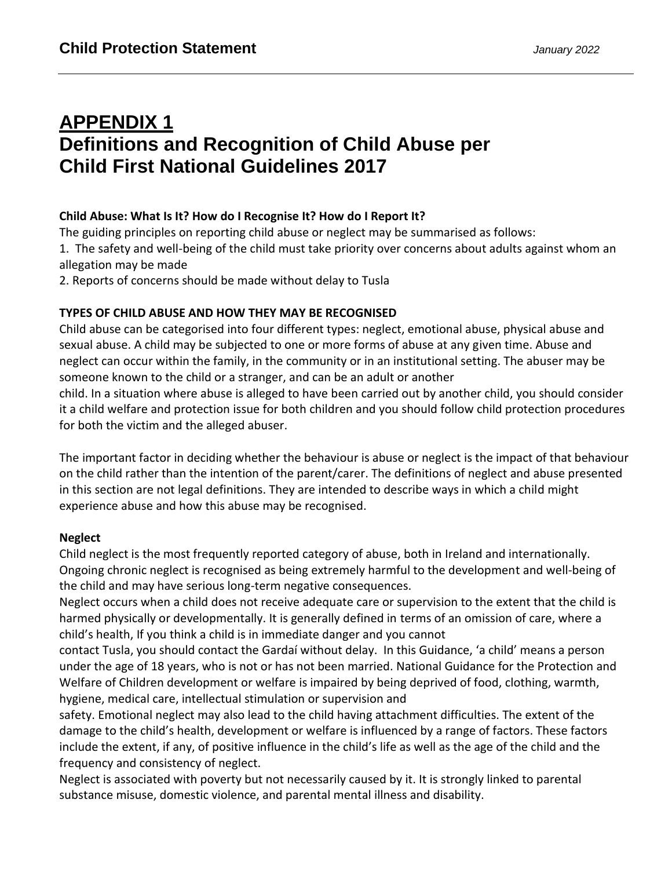# **APPENDIX 1 Definitions and Recognition of Child Abuse per Child First National Guidelines 2017**

### **Child Abuse: What Is It? How do I Recognise It? How do I Report It?**

The guiding principles on reporting child abuse or neglect may be summarised as follows:

1. The safety and well-being of the child must take priority over concerns about adults against whom an allegation may be made

2. Reports of concerns should be made without delay to Tusla

### **TYPES OF CHILD ABUSE AND HOW THEY MAY BE RECOGNISED**

Child abuse can be categorised into four different types: neglect, emotional abuse, physical abuse and sexual abuse. A child may be subjected to one or more forms of abuse at any given time. Abuse and neglect can occur within the family, in the community or in an institutional setting. The abuser may be someone known to the child or a stranger, and can be an adult or another

child. In a situation where abuse is alleged to have been carried out by another child, you should consider it a child welfare and protection issue for both children and you should follow child protection procedures for both the victim and the alleged abuser.

The important factor in deciding whether the behaviour is abuse or neglect is the impact of that behaviour on the child rather than the intention of the parent/carer. The definitions of neglect and abuse presented in this section are not legal definitions. They are intended to describe ways in which a child might experience abuse and how this abuse may be recognised.

### **Neglect**

Child neglect is the most frequently reported category of abuse, both in Ireland and internationally. Ongoing chronic neglect is recognised as being extremely harmful to the development and well-being of the child and may have serious long-term negative consequences.

Neglect occurs when a child does not receive adequate care or supervision to the extent that the child is harmed physically or developmentally. It is generally defined in terms of an omission of care, where a child's health, If you think a child is in immediate danger and you cannot

contact Tusla, you should contact the Gardaí without delay. In this Guidance, 'a child' means a person under the age of 18 years, who is not or has not been married. National Guidance for the Protection and Welfare of Children development or welfare is impaired by being deprived of food, clothing, warmth, hygiene, medical care, intellectual stimulation or supervision and

safety. Emotional neglect may also lead to the child having attachment difficulties. The extent of the damage to the child's health, development or welfare is influenced by a range of factors. These factors include the extent, if any, of positive influence in the child's life as well as the age of the child and the frequency and consistency of neglect.

Neglect is associated with poverty but not necessarily caused by it. It is strongly linked to parental substance misuse, domestic violence, and parental mental illness and disability.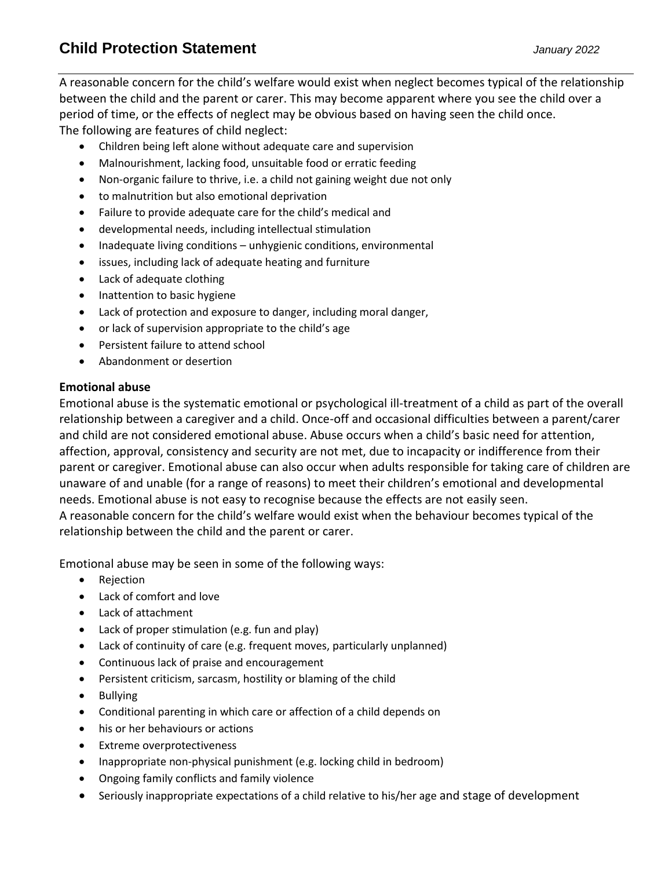A reasonable concern for the child's welfare would exist when neglect becomes typical of the relationship between the child and the parent or carer. This may become apparent where you see the child over a period of time, or the effects of neglect may be obvious based on having seen the child once. The following are features of child neglect:

- Children being left alone without adequate care and supervision
- Malnourishment, lacking food, unsuitable food or erratic feeding
- Non-organic failure to thrive, i.e. a child not gaining weight due not only
- to malnutrition but also emotional deprivation
- Failure to provide adequate care for the child's medical and
- developmental needs, including intellectual stimulation
- Inadequate living conditions unhygienic conditions, environmental
- issues, including lack of adequate heating and furniture
- Lack of adequate clothing
- Inattention to basic hygiene
- Lack of protection and exposure to danger, including moral danger,
- or lack of supervision appropriate to the child's age
- Persistent failure to attend school
- Abandonment or desertion

### **Emotional abuse**

Emotional abuse is the systematic emotional or psychological ill-treatment of a child as part of the overall relationship between a caregiver and a child. Once-off and occasional difficulties between a parent/carer and child are not considered emotional abuse. Abuse occurs when a child's basic need for attention, affection, approval, consistency and security are not met, due to incapacity or indifference from their parent or caregiver. Emotional abuse can also occur when adults responsible for taking care of children are unaware of and unable (for a range of reasons) to meet their children's emotional and developmental needs. Emotional abuse is not easy to recognise because the effects are not easily seen. A reasonable concern for the child's welfare would exist when the behaviour becomes typical of the

relationship between the child and the parent or carer.

Emotional abuse may be seen in some of the following ways:

- Rejection
- Lack of comfort and love
- Lack of attachment
- Lack of proper stimulation (e.g. fun and play)
- Lack of continuity of care (e.g. frequent moves, particularly unplanned)
- Continuous lack of praise and encouragement
- Persistent criticism, sarcasm, hostility or blaming of the child
- Bullying
- Conditional parenting in which care or affection of a child depends on
- his or her behaviours or actions
- Extreme overprotectiveness
- Inappropriate non-physical punishment (e.g. locking child in bedroom)
- Ongoing family conflicts and family violence
- Seriously inappropriate expectations of a child relative to his/her age and stage of development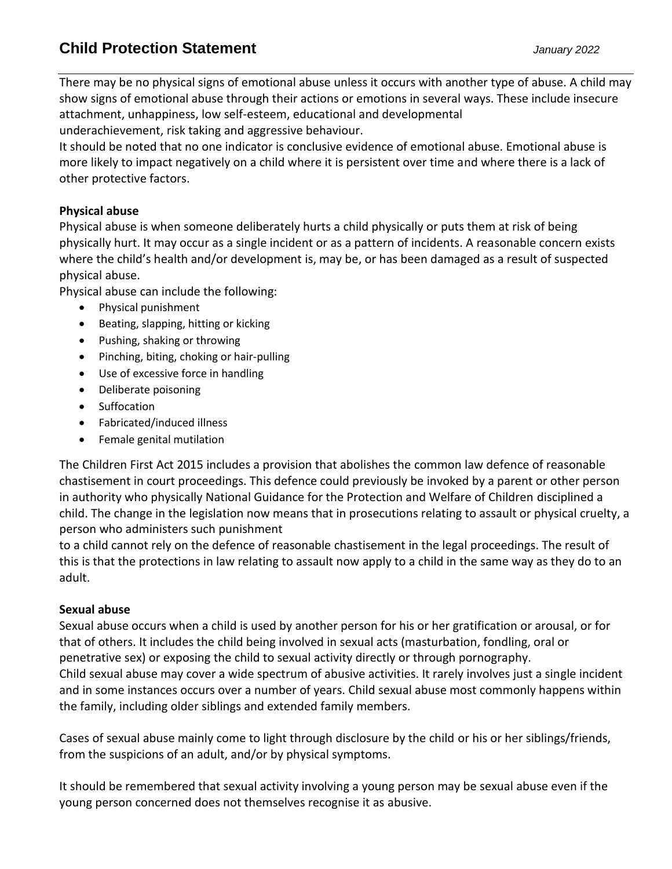## **Child Protection Statement** *January 2022*

There may be no physical signs of emotional abuse unless it occurs with another type of abuse. A child may show signs of emotional abuse through their actions or emotions in several ways. These include insecure attachment, unhappiness, low self-esteem, educational and developmental

underachievement, risk taking and aggressive behaviour.

It should be noted that no one indicator is conclusive evidence of emotional abuse. Emotional abuse is more likely to impact negatively on a child where it is persistent over time and where there is a lack of other protective factors.

### **Physical abuse**

Physical abuse is when someone deliberately hurts a child physically or puts them at risk of being physically hurt. It may occur as a single incident or as a pattern of incidents. A reasonable concern exists where the child's health and/or development is, may be, or has been damaged as a result of suspected physical abuse.

Physical abuse can include the following:

- Physical punishment
- Beating, slapping, hitting or kicking
- Pushing, shaking or throwing
- Pinching, biting, choking or hair-pulling
- Use of excessive force in handling
- Deliberate poisoning
- Suffocation
- Fabricated/induced illness
- Female genital mutilation

The Children First Act 2015 includes a provision that abolishes the common law defence of reasonable chastisement in court proceedings. This defence could previously be invoked by a parent or other person in authority who physically National Guidance for the Protection and Welfare of Children disciplined a child. The change in the legislation now means that in prosecutions relating to assault or physical cruelty, a person who administers such punishment

to a child cannot rely on the defence of reasonable chastisement in the legal proceedings. The result of this is that the protections in law relating to assault now apply to a child in the same way as they do to an adult.

### **Sexual abuse**

Sexual abuse occurs when a child is used by another person for his or her gratification or arousal, or for that of others. It includes the child being involved in sexual acts (masturbation, fondling, oral or penetrative sex) or exposing the child to sexual activity directly or through pornography. Child sexual abuse may cover a wide spectrum of abusive activities. It rarely involves just a single incident and in some instances occurs over a number of years. Child sexual abuse most commonly happens within the family, including older siblings and extended family members.

Cases of sexual abuse mainly come to light through disclosure by the child or his or her siblings/friends, from the suspicions of an adult, and/or by physical symptoms.

It should be remembered that sexual activity involving a young person may be sexual abuse even if the young person concerned does not themselves recognise it as abusive.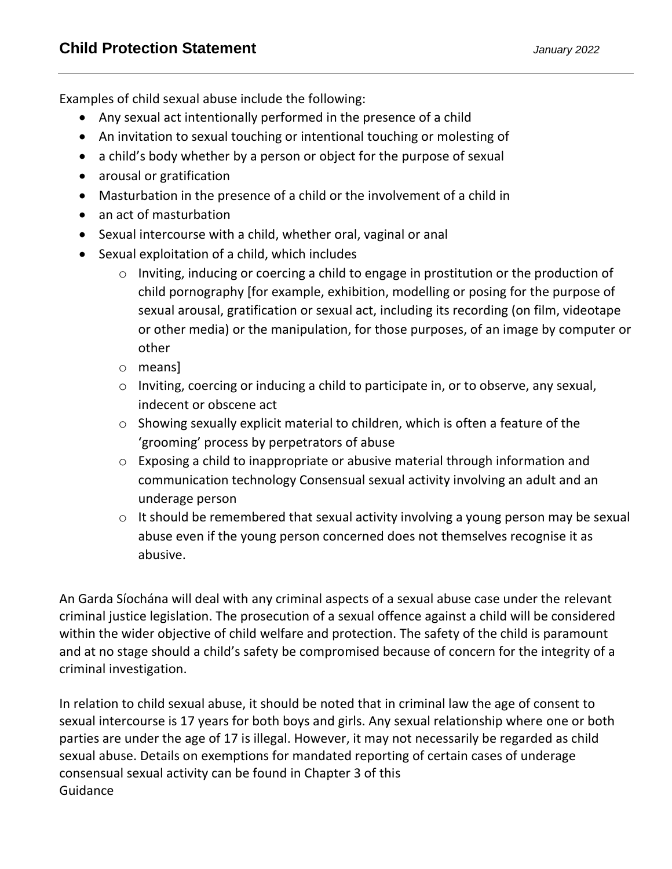Examples of child sexual abuse include the following:

- Any sexual act intentionally performed in the presence of a child
- An invitation to sexual touching or intentional touching or molesting of
- a child's body whether by a person or object for the purpose of sexual
- arousal or gratification
- Masturbation in the presence of a child or the involvement of a child in
- an act of masturbation
- Sexual intercourse with a child, whether oral, vaginal or anal
- Sexual exploitation of a child, which includes
	- o Inviting, inducing or coercing a child to engage in prostitution or the production of child pornography [for example, exhibition, modelling or posing for the purpose of sexual arousal, gratification or sexual act, including its recording (on film, videotape or other media) or the manipulation, for those purposes, of an image by computer or other
	- o means]
	- o Inviting, coercing or inducing a child to participate in, or to observe, any sexual, indecent or obscene act
	- o Showing sexually explicit material to children, which is often a feature of the 'grooming' process by perpetrators of abuse
	- o Exposing a child to inappropriate or abusive material through information and communication technology Consensual sexual activity involving an adult and an underage person
	- o It should be remembered that sexual activity involving a young person may be sexual abuse even if the young person concerned does not themselves recognise it as abusive.

An Garda Síochána will deal with any criminal aspects of a sexual abuse case under the relevant criminal justice legislation. The prosecution of a sexual offence against a child will be considered within the wider objective of child welfare and protection. The safety of the child is paramount and at no stage should a child's safety be compromised because of concern for the integrity of a criminal investigation.

In relation to child sexual abuse, it should be noted that in criminal law the age of consent to sexual intercourse is 17 years for both boys and girls. Any sexual relationship where one or both parties are under the age of 17 is illegal. However, it may not necessarily be regarded as child sexual abuse. Details on exemptions for mandated reporting of certain cases of underage consensual sexual activity can be found in Chapter 3 of this Guidance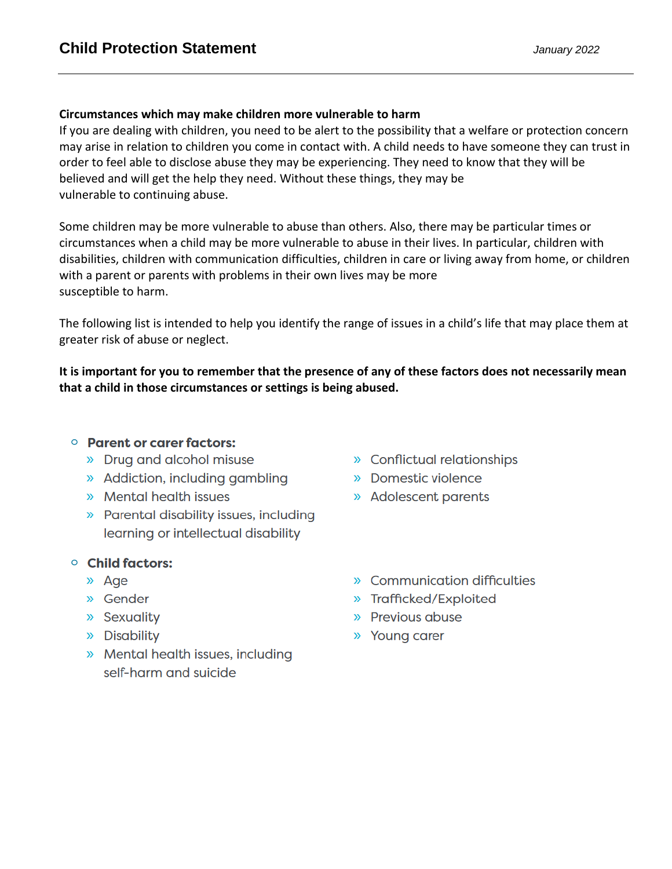#### **Circumstances which may make children more vulnerable to harm**

If you are dealing with children, you need to be alert to the possibility that a welfare or protection concern may arise in relation to children you come in contact with. A child needs to have someone they can trust in order to feel able to disclose abuse they may be experiencing. They need to know that they will be believed and will get the help they need. Without these things, they may be vulnerable to continuing abuse.

Some children may be more vulnerable to abuse than others. Also, there may be particular times or circumstances when a child may be more vulnerable to abuse in their lives. In particular, children with disabilities, children with communication difficulties, children in care or living away from home, or children with a parent or parents with problems in their own lives may be more susceptible to harm.

The following list is intended to help you identify the range of issues in a child's life that may place them at greater risk of abuse or neglect.

**It is important for you to remember that the presence of any of these factors does not necessarily mean that a child in those circumstances or settings is being abused.**

### ○ Parent or carer factors:

- » Drug and alcohol misuse
- » Addiction, including gambling
- » Mental health issues
- » Parental disability issues, including learning or intellectual disability

### ○ Child factors:

- » Age
- » Gender
- » Sexuality
- » Disability
- » Mental health issues, including self-harm and suicide
- » Conflictual relationships
- » Domestic violence
- » Adolescent parents
- » Communication difficulties
- » Trafficked/Exploited
- » Previous abuse
- » Young carer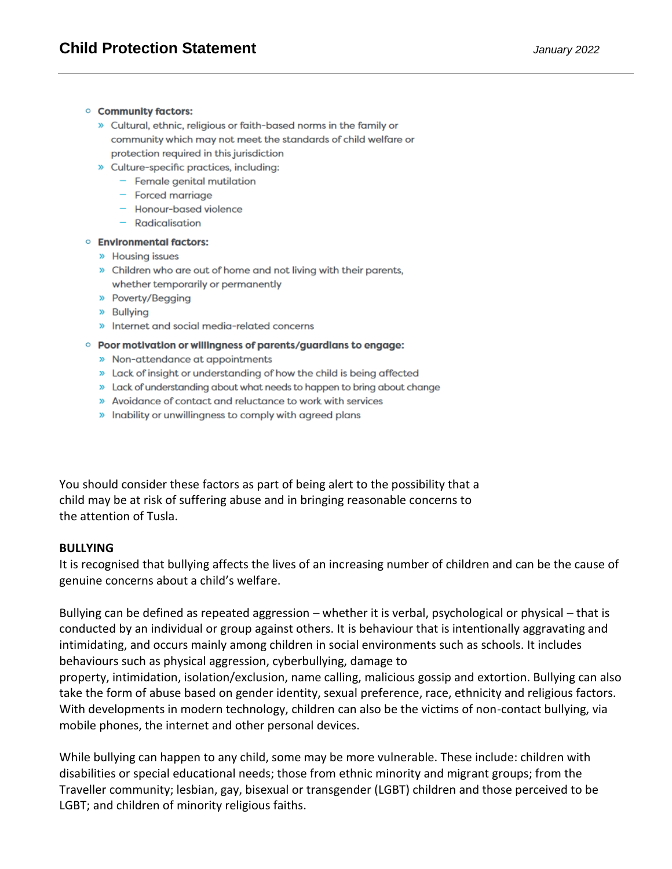#### **Community factors:**

- » Cultural, ethnic, religious or faith-based norms in the family or community which may not meet the standards of child welfare or protection required in this jurisdiction
- » Culture-specific practices, including:
	- $-$  Female genital mutilation
	- $-$  Forced marriage
	- Honour-based violence
	- $-$  Radicalisation

#### **Environmental factors:**

- » Housing issues
- » Children who are out of home and not living with their parents, whether temporarily or permanently
- » Poverty/Begging
- » Bullying
- » Internet and social media-related concerns

#### **O Poor motivation or willingness of parents/guardians to engage:**

- » Non-attendance at appointments
- » Lack of insight or understanding of how the child is being affected
- » Lack of understanding about what needs to happen to bring about change
- » Avoidance of contact and reluctance to work with services
- » Inability or unwillingness to comply with agreed plans

You should consider these factors as part of being alert to the possibility that a child may be at risk of suffering abuse and in bringing reasonable concerns to the attention of Tusla.

#### **BULLYING**

It is recognised that bullying affects the lives of an increasing number of children and can be the cause of genuine concerns about a child's welfare.

Bullying can be defined as repeated aggression – whether it is verbal, psychological or physical – that is conducted by an individual or group against others. It is behaviour that is intentionally aggravating and intimidating, and occurs mainly among children in social environments such as schools. It includes behaviours such as physical aggression, cyberbullying, damage to

property, intimidation, isolation/exclusion, name calling, malicious gossip and extortion. Bullying can also take the form of abuse based on gender identity, sexual preference, race, ethnicity and religious factors. With developments in modern technology, children can also be the victims of non-contact bullying, via mobile phones, the internet and other personal devices.

While bullying can happen to any child, some may be more vulnerable. These include: children with disabilities or special educational needs; those from ethnic minority and migrant groups; from the Traveller community; lesbian, gay, bisexual or transgender (LGBT) children and those perceived to be LGBT; and children of minority religious faiths.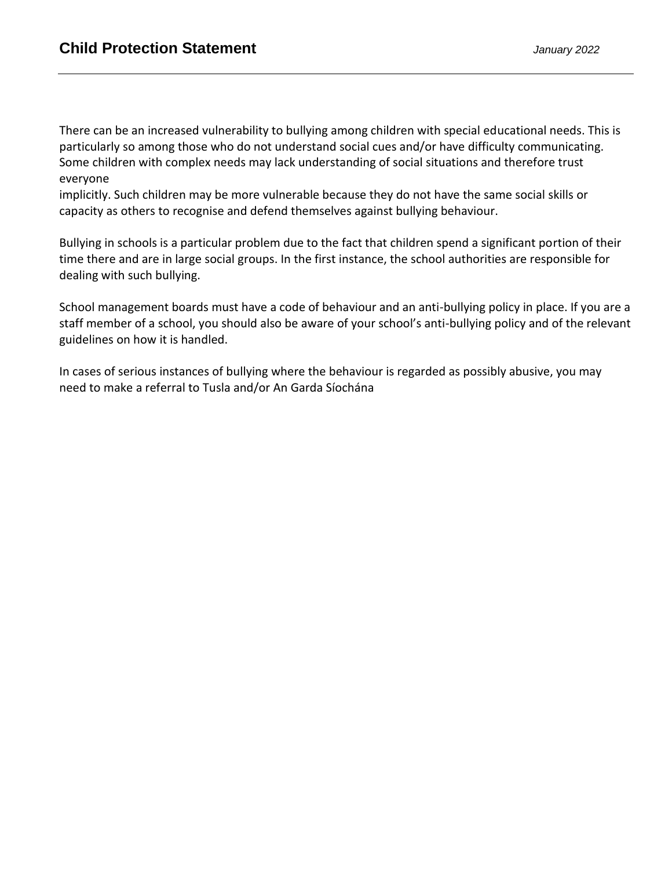There can be an increased vulnerability to bullying among children with special educational needs. This is particularly so among those who do not understand social cues and/or have difficulty communicating. Some children with complex needs may lack understanding of social situations and therefore trust everyone

implicitly. Such children may be more vulnerable because they do not have the same social skills or capacity as others to recognise and defend themselves against bullying behaviour.

Bullying in schools is a particular problem due to the fact that children spend a significant portion of their time there and are in large social groups. In the first instance, the school authorities are responsible for dealing with such bullying.

School management boards must have a code of behaviour and an anti-bullying policy in place. If you are a staff member of a school, you should also be aware of your school's anti-bullying policy and of the relevant guidelines on how it is handled.

In cases of serious instances of bullying where the behaviour is regarded as possibly abusive, you may need to make a referral to Tusla and/or An Garda Síochána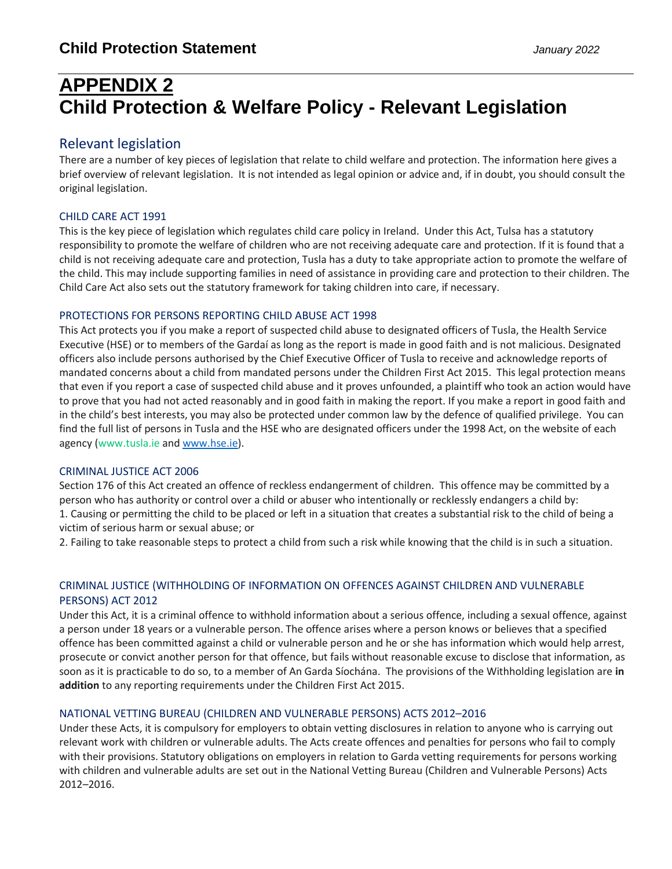## **APPENDIX 2 Child Protection & Welfare Policy - Relevant Legislation**

### Relevant legislation

There are a number of key pieces of legislation that relate to child welfare and protection. The information here gives a brief overview of relevant legislation. It is not intended as legal opinion or advice and, if in doubt, you should consult the original legislation.

#### CHILD CARE ACT 1991

This is the key piece of legislation which regulates child care policy in Ireland. Under this Act, Tulsa has a statutory responsibility to promote the welfare of children who are not receiving adequate care and protection. If it is found that a child is not receiving adequate care and protection, Tusla has a duty to take appropriate action to promote the welfare of the child. This may include supporting families in need of assistance in providing care and protection to their children. The Child Care Act also sets out the statutory framework for taking children into care, if necessary.

#### PROTECTIONS FOR PERSONS REPORTING CHILD ABUSE ACT 1998

This Act protects you if you make a report of suspected child abuse to designated officers of Tusla, the Health Service Executive (HSE) or to members of the Gardaí as long as the report is made in good faith and is not malicious. Designated officers also include persons authorised by the Chief Executive Officer of Tusla to receive and acknowledge reports of mandated concerns about a child from mandated persons under the Children First Act 2015. This legal protection means that even if you report a case of suspected child abuse and it proves unfounded, a plaintiff who took an action would have to prove that you had not acted reasonably and in good faith in making the report. If you make a report in good faith and in the child's best interests, you may also be protected under common law by the defence of qualified privilege. You can find the full list of persons in Tusla and the HSE who are designated officers under the 1998 Act, on the website of each agency (www.tusla.ie an[d www.hse.ie\)](http://www.hse.ie/).

#### CRIMINAL JUSTICE ACT 2006

Section 176 of this Act created an offence of reckless endangerment of children. This offence may be committed by a person who has authority or control over a child or abuser who intentionally or recklessly endangers a child by: 1. Causing or permitting the child to be placed or left in a situation that creates a substantial risk to the child of being a victim of serious harm or sexual abuse; or

2. Failing to take reasonable steps to protect a child from such a risk while knowing that the child is in such a situation.

#### CRIMINAL JUSTICE (WITHHOLDING OF INFORMATION ON OFFENCES AGAINST CHILDREN AND VULNERABLE PERSONS) ACT 2012

Under this Act, it is a criminal offence to withhold information about a serious offence, including a sexual offence, against a person under 18 years or a vulnerable person. The offence arises where a person knows or believes that a specified offence has been committed against a child or vulnerable person and he or she has information which would help arrest, prosecute or convict another person for that offence, but fails without reasonable excuse to disclose that information, as soon as it is practicable to do so, to a member of An Garda Síochána. The provisions of the Withholding legislation are **in addition** to any reporting requirements under the Children First Act 2015.

#### NATIONAL VETTING BUREAU (CHILDREN AND VULNERABLE PERSONS) ACTS 2012–2016

Under these Acts, it is compulsory for employers to obtain vetting disclosures in relation to anyone who is carrying out relevant work with children or vulnerable adults. The Acts create offences and penalties for persons who fail to comply with their provisions. Statutory obligations on employers in relation to Garda vetting requirements for persons working with children and vulnerable adults are set out in the National Vetting Bureau (Children and Vulnerable Persons) Acts 2012–2016.